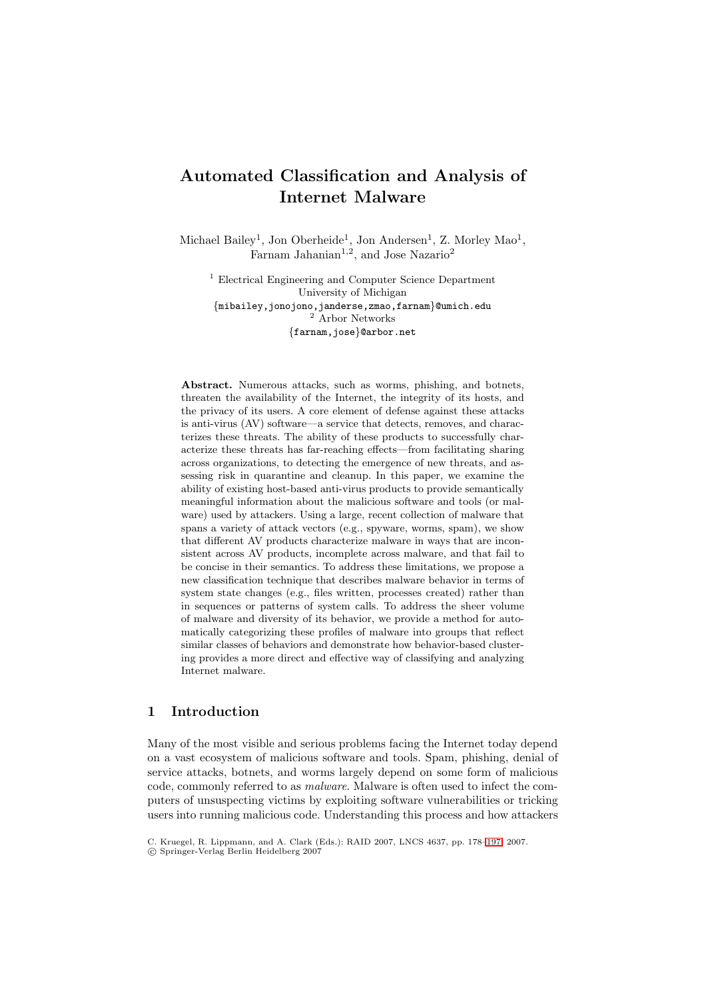# **Automated Classification and Analysis of Internet Malware**

Michael Bailey<sup>1</sup>, Jon Oberheide<sup>1</sup>, Jon Andersen<sup>1</sup>, Z. Morley Mao<sup>1</sup>, Farnam Jahanian<sup>1,2</sup>, and Jose Nazario<sup>2</sup>

<sup>1</sup> Electrical Engineering and Computer Science Department University of Michigan {mibailey,jonojono,janderse,zmao,farnam}@umich.edu

 $2^{2}$  Arbor Networks {farnam,jose}@arbor.net

**Abstract.** Numerous attacks, such as worms, phishing, and botnets, threaten the availability of the Internet, the integrity of its hosts, and the privacy of its users. A core element of defense against these attacks is anti-virus (AV) software—a service that detects, removes, and characterizes these threats. The ability of these products to successfully characterize these threats has far-reaching effects—from facilitating sharing across organizations, to detecting the emergence of new threats, and assessing risk in quarantine and cleanup. In this paper, we examine the ability of existing host-based anti-virus products to provide semantically meaningful information about the malicious software and tools (or malware) used by attackers. Using a large, recent collection of malware that spans a variety of attack vectors (e.g., spyware, worms, spam), we show that different AV products characterize malware in ways that are inconsistent across AV products, incomplete across malware, and that fail to be concise in their semantics. To address these limitations, we propose a new classification technique that describes malware behavior in terms of system state changes (e.g., files written, processes created) rather than in sequences or patterns of system calls. To address the sheer volume of malware and diversity of its behavior, we provide a method for automatically categorizing these profiles of malware into groups that reflect similar classes of behaviors and demonstrate how behavior-based clustering provides a more direct and effective way of classifying and analyzing Internet malware.

# **1 Introduction**

Many of the most visible and serious problems facing the Internet today depend on a vast ecosystem of malicious software and tools. Spam, phishing, denial of service attacks, botnets, and worms largely depend on some form of malicious code, commonly referred to as malware. Malware is often used to infect the computers of unsuspecting victims by exploiting software vulnerabilities or tricking users into running malicious code. Understanding this process and how attackers

C. Kruegel, R. Lippmann, and A. Clark (Eds.): RAID 2007, LNCS 4637, pp. 178[–197,](#page-18-0) 2007.

<sup>-</sup>c Springer-Verlag Berlin Heidelberg 2007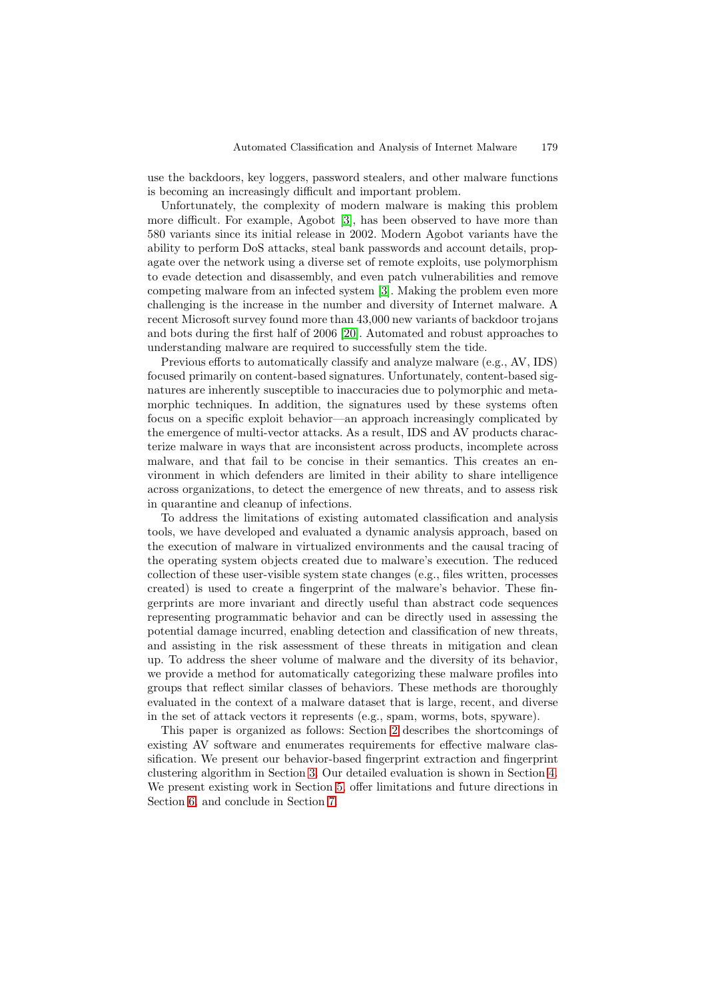use the backdoors, key loggers, password stealers, and other malware functions is becoming an increasingly difficult and important problem.

Unfortunately, the complexity of modern malware is making this problem more difficult. For example, Agobot [\[3\]](#page-18-1), has been observed to have more than 580 variants since its initial release in 2002. Modern Agobot variants have the ability to perform DoS attacks, steal bank passwords and account details, propagate over the network using a diverse set of remote exploits, use polymorphism to evade detection and disassembly, and even patch vulnerabilities and remove competing malware from an infected system [\[3\]](#page-18-1). Making the problem even more challenging is the increase in the number and diversity of Internet malware. A recent Microsoft survey found more than 43,000 new variants of backdoor trojans and bots during the first half of 2006 [\[20\]](#page-19-0). Automated and robust approaches to understanding malware are required to successfully stem the tide.

Previous efforts to automatically classify and analyze malware (e.g., AV, IDS) focused primarily on content-based signatures. Unfortunately, content-based signatures are inherently susceptible to inaccuracies due to polymorphic and metamorphic techniques. In addition, the signatures used by these systems often focus on a specific exploit behavior—an approach increasingly complicated by the emergence of multi-vector attacks. As a result, IDS and AV products characterize malware in ways that are inconsistent across products, incomplete across malware, and that fail to be concise in their semantics. This creates an environment in which defenders are limited in their ability to share intelligence across organizations, to detect the emergence of new threats, and to assess risk in quarantine and cleanup of infections.

To address the limitations of existing automated classification and analysis tools, we have developed and evaluated a dynamic analysis approach, based on the execution of malware in virtualized environments and the causal tracing of the operating system objects created due to malware's execution. The reduced collection of these user-visible system state changes (e.g., files written, processes created) is used to create a fingerprint of the malware's behavior. These fingerprints are more invariant and directly useful than abstract code sequences representing programmatic behavior and can be directly used in assessing the potential damage incurred, enabling detection and classification of new threats, and assisting in the risk assessment of these threats in mitigation and clean up. To address the sheer volume of malware and the diversity of its behavior, we provide a method for automatically categorizing these malware profiles into groups that reflect similar classes of behaviors. These methods are thoroughly evaluated in the context of a malware dataset that is large, recent, and diverse in the set of attack vectors it represents (e.g., spam, worms, bots, spyware).

This paper is organized as follows: Section [2](#page-2-0) describes the shortcomings of existing AV software and enumerates requirements for effective malware classification. We present our behavior-based fingerprint extraction and fingerprint clustering algorithm in Section [3.](#page-6-0) Our detailed evaluation is shown in Section [4.](#page-10-0) We present existing work in Section [5,](#page-15-0) offer limitations and future directions in Section [6,](#page-16-0) and conclude in Section [7.](#page-17-0)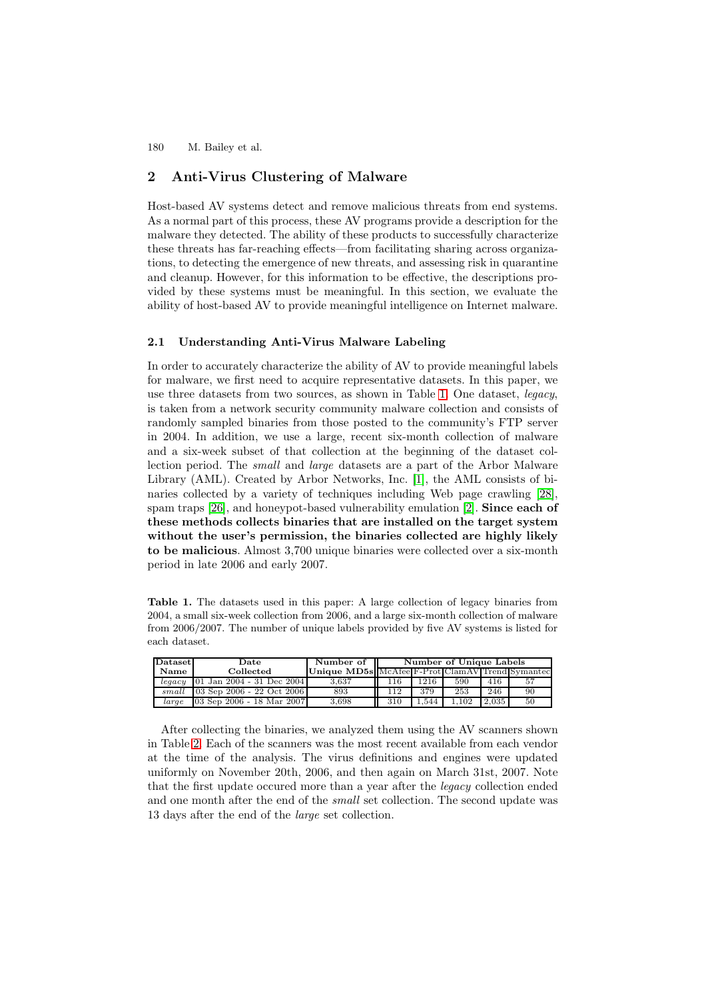# <span id="page-2-0"></span>**2 Anti-Virus Clustering of Malware**

Host-based AV systems detect and remove malicious threats from end systems. As a normal part of this process, these AV programs provide a description for the malware they detected. The ability of these products to successfully characterize these threats has far-reaching effects—from facilitating sharing across organizations, to detecting the emergence of new threats, and assessing risk in quarantine and cleanup. However, for this information to be effective, the descriptions provided by these systems must be meaningful. In this section, we evaluate the ability of host-based AV to provide meaningful intelligence on Internet malware.

## **2.1 Understanding Anti-Virus Malware Labeling**

In order to accurately characterize the ability of AV to provide meaningful labels for malware, we first need to acquire representative datasets. In this paper, we use three datasets from two sources, as shown in Table [1.](#page-2-1) One dataset, legacy, is taken from a network security community malware collection and consists of randomly sampled binaries from those posted to the community's FTP server in 2004. In addition, we use a large, recent six-month collection of malware and a six-week subset of that collection at the beginning of the dataset collection period. The small and large datasets are a part of the Arbor Malware Library (AML). Created by Arbor Networks, Inc. [\[1\]](#page-18-2), the AML consists of binaries collected by a variety of techniques including Web page crawling [\[28\]](#page-19-1), spam traps [\[26\]](#page-19-2), and honeypot-based vulnerability emulation [\[2\]](#page-18-3). **Since each of these methods collects binaries that are installed on the target system without the user's permission, the binaries collected are highly likely to be malicious**. Almost 3,700 unique binaries were collected over a six-month period in late 2006 and early 2007.

<span id="page-2-1"></span>Table 1. The datasets used in this paper: A large collection of legacy binaries from 2004, a small six-week collection from 2006, and a large six-month collection of malware from 2006/2007. The number of unique labels provided by five AV systems is listed for each dataset.

| Dataset | Date                                            | Number of II                                    | Number of Unique Labels |       |      |       |     |  |
|---------|-------------------------------------------------|-------------------------------------------------|-------------------------|-------|------|-------|-----|--|
| Name    | Collected                                       | Unique MD5s McAfee F-Prot ClamAV Trend Symantec |                         |       |      |       |     |  |
| legacy  | $ 01 \text{ Jan } 2004 - 31 \text{ Dec } 2004 $ | 3.637                                           | -16                     | 1216  | 590  | 416   | -51 |  |
| small   | $ 03 \text{ Sep } 2006 - 22 \text{ Oct } 2006 $ | 893                                             | 12                      | 379   | 253  | 246   | 90  |  |
| large   | $ 03 \text{ Sep } 2006 - 18 \text{ Mar } 2007 $ | 3.698                                           | 310                     | . 544 | .102 | 2.035 | 50  |  |

After collecting the binaries, we analyzed them using the AV scanners shown in Table [2.](#page-3-0) Each of the scanners was the most recent available from each vendor at the time of the analysis. The virus definitions and engines were updated uniformly on November 20th, 2006, and then again on March 31st, 2007. Note that the first update occured more than a year after the *legacy* collection ended and one month after the end of the small set collection. The second update was 13 days after the end of the large set collection.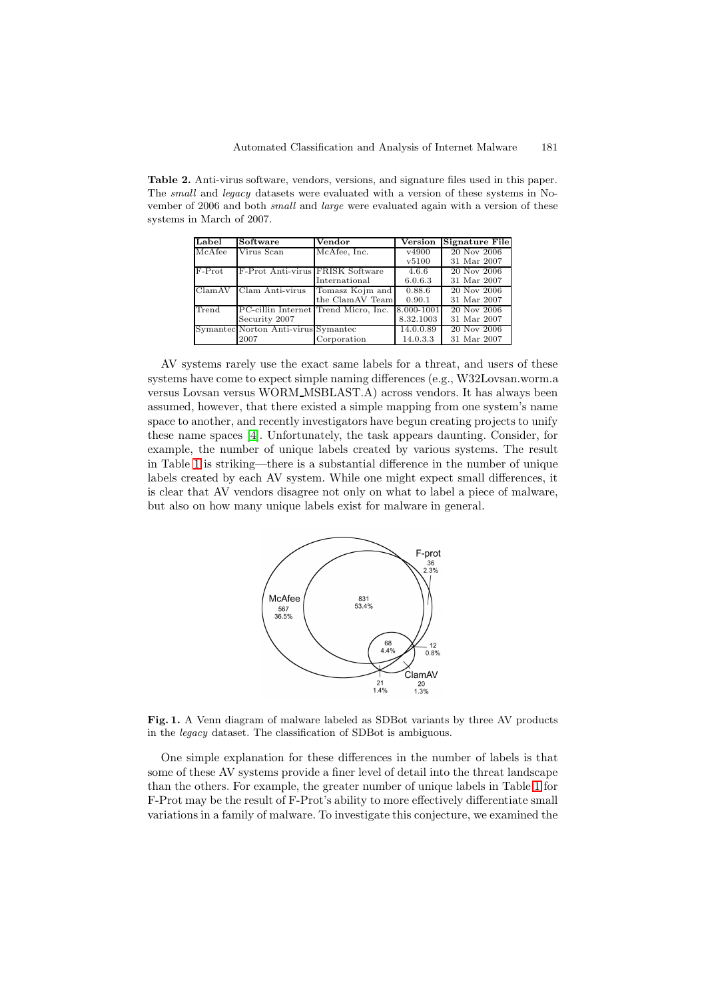<span id="page-3-0"></span>**Table 2.** Anti-virus software, vendors, versions, and signature files used in this paper. The small and legacy datasets were evaluated with a version of these systems in November of 2006 and both *small* and *large* were evaluated again with a version of these systems in March of 2007.

| Label  | Software                             | Vendor          | <b>Version</b> | <b>Signature File</b> |
|--------|--------------------------------------|-----------------|----------------|-----------------------|
| McAfee | Virus Scan                           | McAfee, Inc.    | v4900          | 20 Nov 2006           |
|        |                                      |                 | v5100          | 31 Mar 2007           |
| F-Prot | F-Prot Anti-virus FRISK Software     |                 | 4.6.6          | 20 Nov 2006           |
|        |                                      | International   | 6.0.6.3        | 31 Mar 2007           |
| ClamAV | Clam Anti-virus                      | Tomasz Kojm and | 0.88.6         | 20 Nov 2006           |
|        |                                      | the ClamAV Team | 0.90.1         | 31 Mar 2007           |
| Trend  | PC-cillin Internet Trend Micro, Inc. |                 | 8.000-1001     | 20 Nov 2006           |
|        | Security 2007                        |                 | 8.32.1003      | 31 Mar 2007           |
|        | Symantec Norton Anti-virus Symantec  |                 | 14.0.0.89      | 20 Nov 2006           |
|        | 2007                                 | Corporation     | 14.0.3.3       | 31 Mar 2007           |

AV systems rarely use the exact same labels for a threat, and users of these systems have come to expect simple naming differences (e.g., W32Lovsan.worm.a versus Lovsan versus WORM MSBLAST.A) across vendors. It has always been assumed, however, that there existed a simple mapping from one system's name space to another, and recently investigators have begun creating projects to unify these name spaces [\[4\]](#page-18-4). Unfortunately, the task appears daunting. Consider, for example, the number of unique labels created by various systems. The result in Table [1](#page-2-1) is striking—there is a substantial difference in the number of unique labels created by each AV system. While one might expect small differences, it is clear that AV vendors disagree not only on what to label a piece of malware, but also on how many unique labels exist for malware in general.



<span id="page-3-1"></span>Fig. 1. A Venn diagram of malware labeled as SDBot variants by three AV products in the legacy dataset. The classification of SDBot is ambiguous.

One simple explanation for these differences in the number of labels is that some of these AV systems provide a finer level of detail into the threat landscape than the others. For example, the greater number of unique labels in Table [1](#page-2-1) for F-Prot may be the result of F-Prot's ability to more effectively differentiate small variations in a family of malware. To investigate this conjecture, we examined the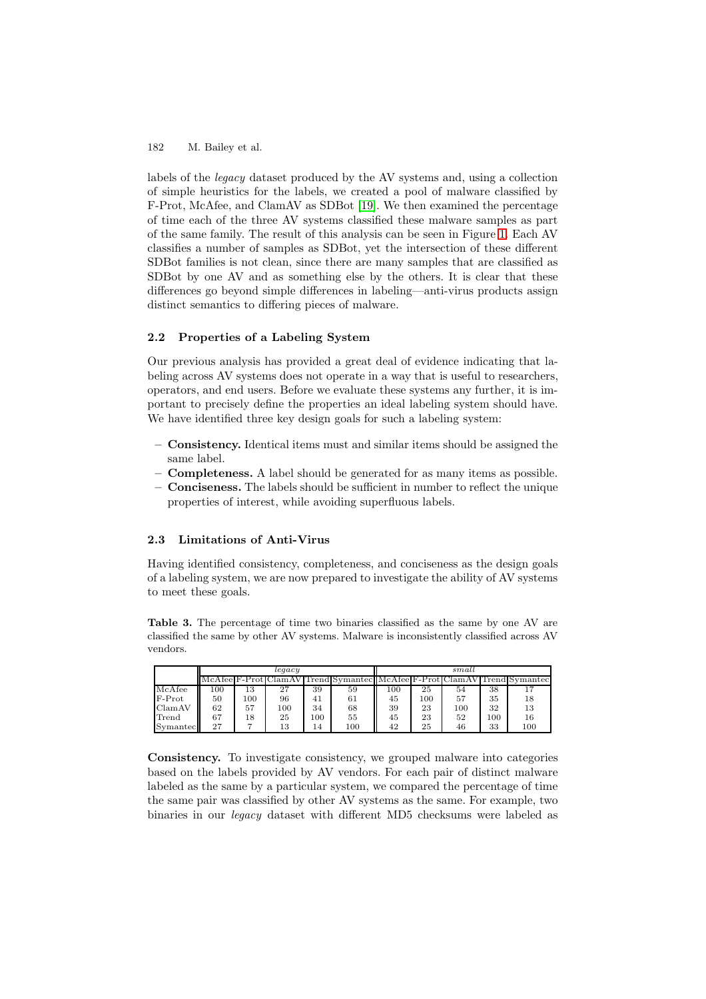labels of the legacy dataset produced by the AV systems and, using a collection of simple heuristics for the labels, we created a pool of malware classified by F-Prot, McAfee, and ClamAV as SDBot [\[19\]](#page-19-3). We then examined the percentage of time each of the three AV systems classified these malware samples as part of the same family. The result of this analysis can be seen in Figure [1.](#page-3-1) Each AV classifies a number of samples as SDBot, yet the intersection of these different SDBot families is not clean, since there are many samples that are classified as SDBot by one AV and as something else by the others. It is clear that these differences go beyond simple differences in labeling—anti-virus products assign distinct semantics to differing pieces of malware.

## **2.2 Properties of a Labeling System**

Our previous analysis has provided a great deal of evidence indicating that labeling across AV systems does not operate in a way that is useful to researchers, operators, and end users. Before we evaluate these systems any further, it is important to precisely define the properties an ideal labeling system should have. We have identified three key design goals for such a labeling system:

- **Consistency.** Identical items must and similar items should be assigned the same label.
- **Completeness.** A label should be generated for as many items as possible.
- **Conciseness.** The labels should be sufficient in number to reflect the unique properties of interest, while avoiding superfluous labels.

## **2.3 Limitations of Anti-Virus**

Having identified consistency, completeness, and conciseness as the design goals of a labeling system, we are now prepared to investigate the ability of AV systems to meet these goals.

<span id="page-4-0"></span>**Table 3.** The percentage of time two binaries classified as the same by one AV are classified the same by other AV systems. Malware is inconsistently classified across AV vendors.

|          |     | legacy |     |     |                                                                         | small |     |     |     |     |
|----------|-----|--------|-----|-----|-------------------------------------------------------------------------|-------|-----|-----|-----|-----|
|          |     |        |     |     | McAfee F-Prot ClamAV Trend Symanter McAfee F-Prot ClamAV Trend Symantec |       |     |     |     |     |
| McAfee   | 100 | 13     | -27 | 39  | 59                                                                      | 100   | 25  | 54  | 38  |     |
| $F-Prot$ | 50  | 100    | 96  | 41  | 61                                                                      | 45    | 100 | 57  | 35  | 18  |
| ClamAV   | 62  | 57     | 100 | 34  | 68                                                                      | 39    | 23  | 100 | 32  | 13  |
| Trend    | 67  | 18     | 25  | 100 | 55                                                                      | 45    | 23  | 52  | 100 | 16  |
| Symantec | 27  |        | 13  | 14  | 100                                                                     | 42    | 25  | 46  | 33  | 100 |

**Consistency.** To investigate consistency, we grouped malware into categories based on the labels provided by AV vendors. For each pair of distinct malware labeled as the same by a particular system, we compared the percentage of time the same pair was classified by other AV systems as the same. For example, two binaries in our legacy dataset with different MD5 checksums were labeled as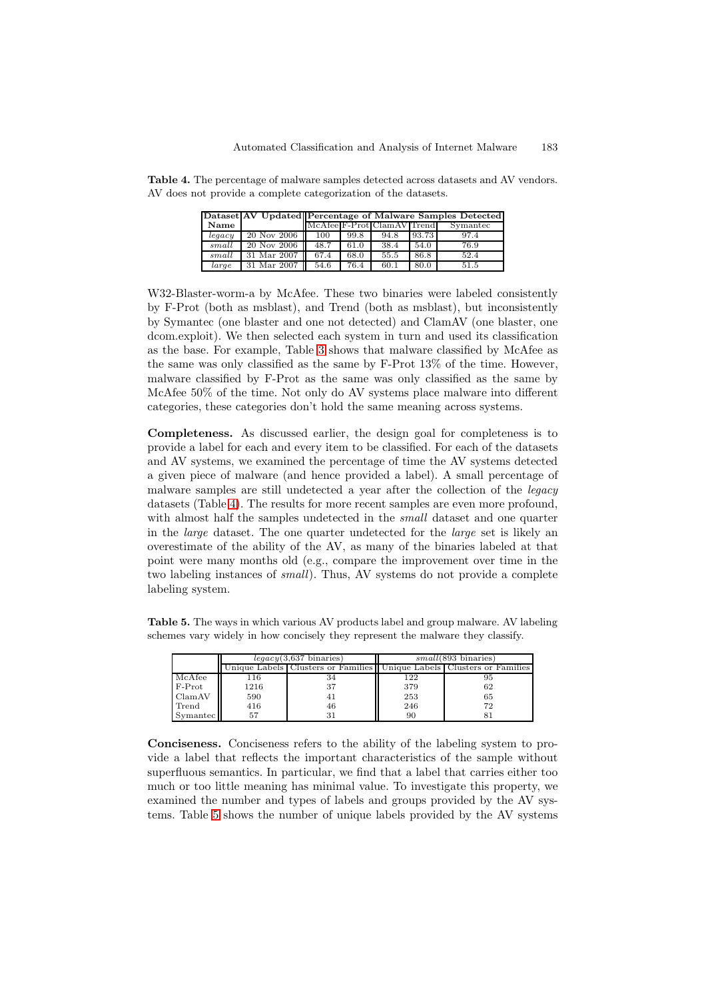<span id="page-5-0"></span>**Table 4.** The percentage of malware samples detected across datasets and AV vendors. AV does not provide a complete categorization of the datasets.

|        |             | Dataset AV Updated Percentage of Malware Samples Detected |      |                            |       |          |  |  |
|--------|-------------|-----------------------------------------------------------|------|----------------------------|-------|----------|--|--|
| Name   |             |                                                           |      | McAfeelF-Prot ClamAV Trend |       | Symantec |  |  |
| leqacy | 20 Nov 2006 | 100                                                       | 99.8 | 94.8                       | 93.73 | 97.4     |  |  |
| small  | 20 Nov 2006 | 48.7                                                      | 61.0 | 38.4                       | 54.0  | 76.9     |  |  |
| small  | 31 Mar 2007 | 67.4                                                      | 68.0 | 55.5                       | 86.8  | 52.4     |  |  |
| large  | 31 Mar 2007 | 54.6                                                      | 76.4 | 60.1                       | 80.0  | 51.5     |  |  |

W32-Blaster-worm-a by McAfee. These two binaries were labeled consistently by F-Prot (both as msblast), and Trend (both as msblast), but inconsistently by Symantec (one blaster and one not detected) and ClamAV (one blaster, one dcom.exploit). We then selected each system in turn and used its classification as the base. For example, Table [3](#page-4-0) shows that malware classified by McAfee as the same was only classified as the same by F-Prot 13% of the time. However, malware classified by F-Prot as the same was only classified as the same by McAfee 50% of the time. Not only do AV systems place malware into different categories, these categories don't hold the same meaning across systems.

**Completeness.** As discussed earlier, the design goal for completeness is to provide a label for each and every item to be classified. For each of the datasets and AV systems, we examined the percentage of time the AV systems detected a given piece of malware (and hence provided a label). A small percentage of malware samples are still undetected a year after the collection of the *legacy* datasets (Table [4\)](#page-5-0). The results for more recent samples are even more profound, with almost half the samples undetected in the *small* dataset and one quarter in the large dataset. The one quarter undetected for the large set is likely an overestimate of the ability of the AV, as many of the binaries labeled at that point were many months old (e.g., compare the improvement over time in the two labeling instances of small). Thus, AV systems do not provide a complete labeling system.

<span id="page-5-1"></span>**Table 5.** The ways in which various AV products label and group malware. AV labeling schemes vary widely in how concisely they represent the malware they classify.

|                 |      | $leqacy(3,637 \text{ binaries})$                                             | $small(893)$ binaries) |    |  |
|-----------------|------|------------------------------------------------------------------------------|------------------------|----|--|
|                 |      | Jnique Labels   Clusters or Families    Unique Labels   Clusters or Families |                        |    |  |
| McAfee          | 116  | 34                                                                           | 122                    | 95 |  |
| $F-Prot$        | 1216 | 37                                                                           | 379                    | 62 |  |
| ClamAV          | 590  |                                                                              | 253                    | 65 |  |
| Trend           | 416  | 46                                                                           | 246                    | 72 |  |
| <b>Symantec</b> |      |                                                                              | 90                     |    |  |

**Conciseness.** Conciseness refers to the ability of the labeling system to provide a label that reflects the important characteristics of the sample without superfluous semantics. In particular, we find that a label that carries either too much or too little meaning has minimal value. To investigate this property, we examined the number and types of labels and groups provided by the AV systems. Table [5](#page-5-1) shows the number of unique labels provided by the AV systems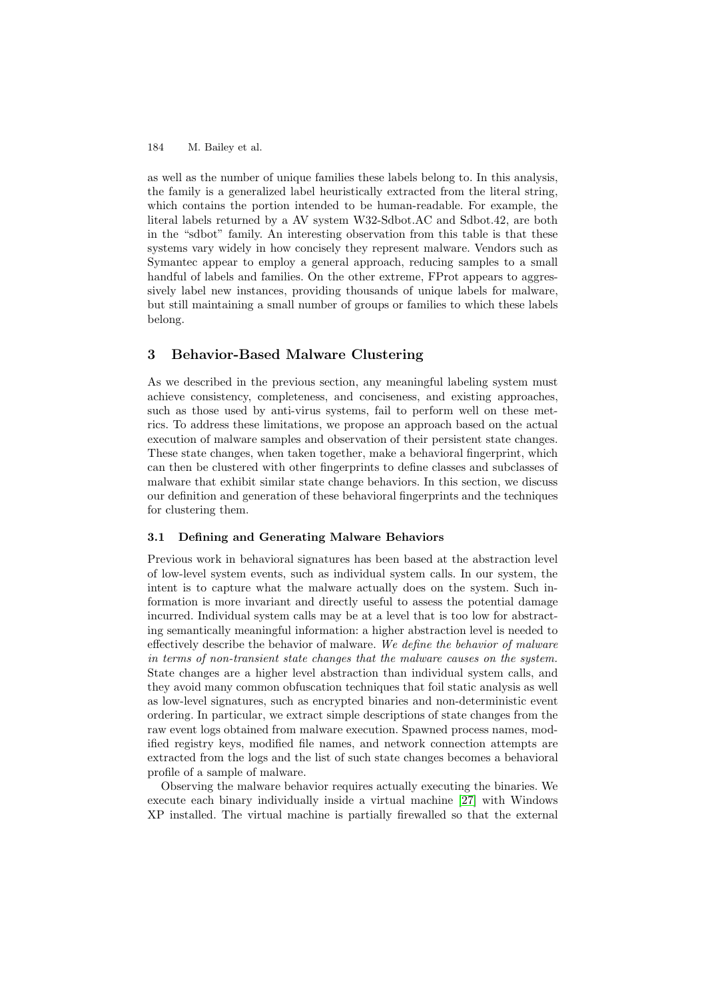as well as the number of unique families these labels belong to. In this analysis, the family is a generalized label heuristically extracted from the literal string, which contains the portion intended to be human-readable. For example, the literal labels returned by a AV system W32-Sdbot.AC and Sdbot.42, are both in the "sdbot" family. An interesting observation from this table is that these systems vary widely in how concisely they represent malware. Vendors such as Symantec appear to employ a general approach, reducing samples to a small handful of labels and families. On the other extreme, FProt appears to aggressively label new instances, providing thousands of unique labels for malware, but still maintaining a small number of groups or families to which these labels belong.

# <span id="page-6-0"></span>**3 Behavior-Based Malware Clustering**

As we described in the previous section, any meaningful labeling system must achieve consistency, completeness, and conciseness, and existing approaches, such as those used by anti-virus systems, fail to perform well on these metrics. To address these limitations, we propose an approach based on the actual execution of malware samples and observation of their persistent state changes. These state changes, when taken together, make a behavioral fingerprint, which can then be clustered with other fingerprints to define classes and subclasses of malware that exhibit similar state change behaviors. In this section, we discuss our definition and generation of these behavioral fingerprints and the techniques for clustering them.

## **3.1 Defining and Generating Malware Behaviors**

Previous work in behavioral signatures has been based at the abstraction level of low-level system events, such as individual system calls. In our system, the intent is to capture what the malware actually does on the system. Such information is more invariant and directly useful to assess the potential damage incurred. Individual system calls may be at a level that is too low for abstracting semantically meaningful information: a higher abstraction level is needed to effectively describe the behavior of malware. We define the behavior of malware in terms of non-transient state changes that the malware causes on the system. State changes are a higher level abstraction than individual system calls, and they avoid many common obfuscation techniques that foil static analysis as well as low-level signatures, such as encrypted binaries and non-deterministic event ordering. In particular, we extract simple descriptions of state changes from the raw event logs obtained from malware execution. Spawned process names, modified registry keys, modified file names, and network connection attempts are extracted from the logs and the list of such state changes becomes a behavioral profile of a sample of malware.

Observing the malware behavior requires actually executing the binaries. We execute each binary individually inside a virtual machine [\[27\]](#page-19-4) with Windows XP installed. The virtual machine is partially firewalled so that the external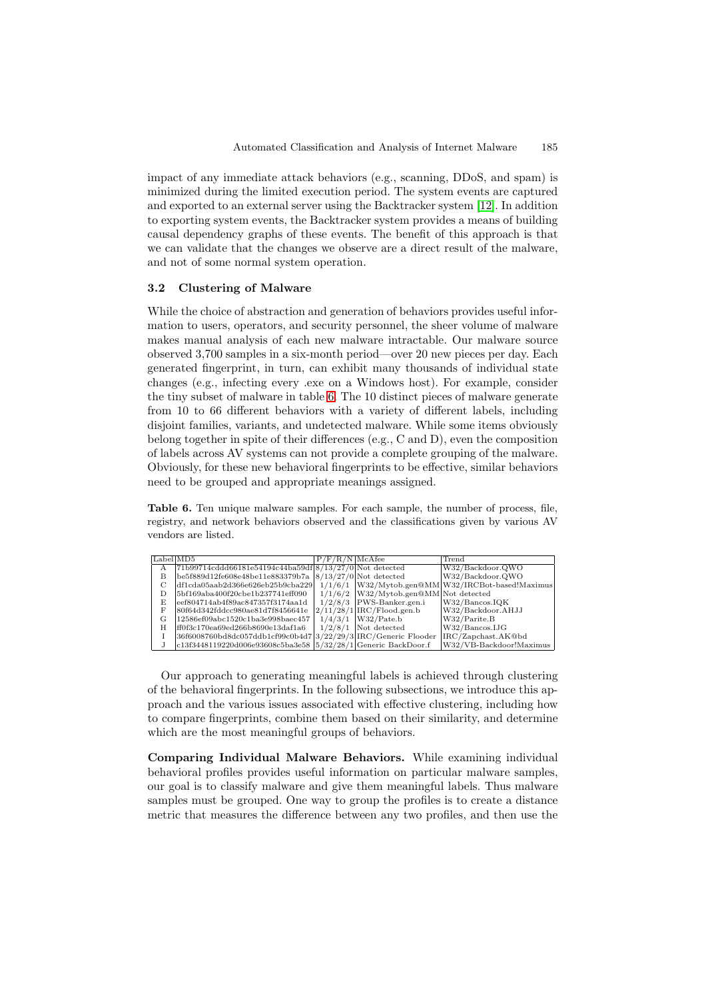impact of any immediate attack behaviors (e.g., scanning, DDoS, and spam) is minimized during the limited execution period. The system events are captured and exported to an external server using the Backtracker system [\[12\]](#page-18-5). In addition to exporting system events, the Backtracker system provides a means of building causal dependency graphs of these events. The benefit of this approach is that we can validate that the changes we observe are a direct result of the malware, and not of some normal system operation.

## **3.2 Clustering of Malware**

While the choice of abstraction and generation of behaviors provides useful information to users, operators, and security personnel, the sheer volume of malware makes manual analysis of each new malware intractable. Our malware source observed 3,700 samples in a six-month period—over 20 new pieces per day. Each generated fingerprint, in turn, can exhibit many thousands of individual state changes (e.g., infecting every .exe on a Windows host). For example, consider the tiny subset of malware in table [6.](#page-7-0) The 10 distinct pieces of malware generate from 10 to 66 different behaviors with a variety of different labels, including disjoint families, variants, and undetected malware. While some items obviously belong together in spite of their differences (e.g., C and D), even the composition of labels across AV systems can not provide a complete grouping of the malware. Obviously, for these new behavioral fingerprints to be effective, similar behaviors need to be grouped and appropriate meanings assigned.

<span id="page-7-0"></span>**Table 6.** Ten unique malware samples. For each sample, the number of process, file, registry, and network behaviors observed and the classifications given by various AV vendors are listed.

| Label MD5 |                                                                  | $P/F/R/N$ McAfee |                                         | Trend                                     |
|-----------|------------------------------------------------------------------|------------------|-----------------------------------------|-------------------------------------------|
| A         | 71b99714cddd66181e54194c44ba59df 8/13/27/0 Not detected          |                  |                                         | W32/Backdoor.QWO                          |
| B         | be5f889d12fe608e48be11e883379b7a 8/13/27/0Not detected           |                  |                                         | W32/Backdoor.QWO                          |
| C         | df1cda05aab2d366e626eb25b9cba229                                 | 1/1/6/1          |                                         | W32/Mytob.gen@MM W32/IRCBot-based!Maximus |
| D         | 5bf169aba400f20cbe1b237741eff090                                 |                  | $1/1/6/2$ W32/Mytob.gen@MM Not detected |                                           |
| E         | eef804714ab4f89ac847357f3174aa1d                                 |                  | $1/2/8/3$ PWS-Banker.gen.i              | $\frac{W32}{Bancos.}$ IQK                 |
| F         | 80f64d342fddcc980ae81d7f8456641e                                 |                  | $2/11/28/1$ IRC/Flood.gen.b             | W32/Backdoor.AHJJ                         |
| G         | 12586ef09abc1520c1ba3e998baec457                                 |                  | $1/4/3/1$ W32/Pate.b                    | W32/Parite.B                              |
| H         | ff0f3c170ea69ed266b8690e13daf1a6                                 | 1/2/8/1          | Not detected                            | W32/Bancos.IJG                            |
|           | 36f6008760bd8dc057ddb1cf99c0b4d7 3/22/29/3 IRC/Generic Flooder   |                  |                                         | IRC/Zapchast.AK@bd                        |
|           | $ c13f3448119220d006e93608c5b43e58 5/32/28/1 Generic BackDoor.f$ |                  |                                         | W32/VB-Backdoor!Maximus                   |

Our approach to generating meaningful labels is achieved through clustering of the behavioral fingerprints. In the following subsections, we introduce this approach and the various issues associated with effective clustering, including how to compare fingerprints, combine them based on their similarity, and determine which are the most meaningful groups of behaviors.

**Comparing Individual Malware Behaviors.** While examining individual behavioral profiles provides useful information on particular malware samples, our goal is to classify malware and give them meaningful labels. Thus malware samples must be grouped. One way to group the profiles is to create a distance metric that measures the difference between any two profiles, and then use the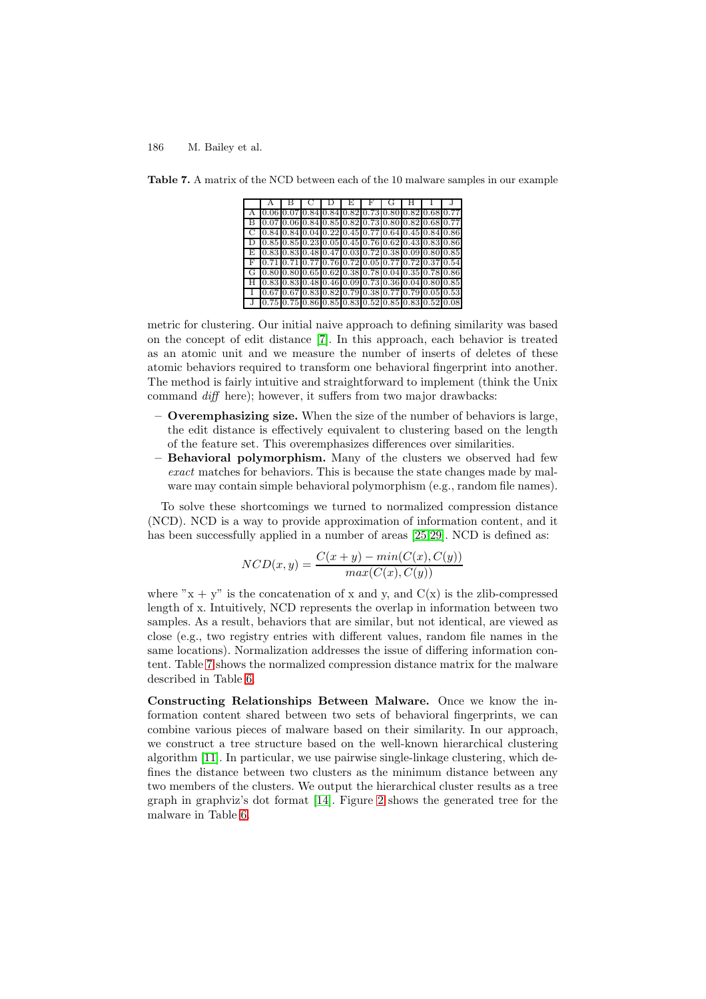<span id="page-8-0"></span>**Table 7.** A matrix of the NCD between each of the 10 malware samples in our example

|    |                                                                                           |  | E. | F |                                                   |  |
|----|-------------------------------------------------------------------------------------------|--|----|---|---------------------------------------------------|--|
|    | 10.0610.0710.8410.8410.8210.7310.8010.8210.6810.77                                        |  |    |   |                                                   |  |
|    | $[0.07] 0.06] 0.84] 0.85] 0.82] 0.73] 0.80] 0.82] 0.68] 0.77$                             |  |    |   |                                                   |  |
|    | $[0.84]0.84]0.04[0.22]0.45[0.77]0.64[0.45]0.84]0.86$                                      |  |    |   |                                                   |  |
|    | $[0.85] 0.85] 0.23] 0.05] 0.45] 0.76] 0.62] 0.43] 0.83] 0.86$                             |  |    |   |                                                   |  |
| E. | $[0.83 \, 0.83 \, 0.48 \, 0.47 \, 0.03 \, 0.72 \, 0.38 \, 0.09 \, 0.80 \, 0.85]$          |  |    |   |                                                   |  |
|    | $[0.71] 0.71] 0.77] 0.76] 0.72] 0.05] 0.77] 0.72] 0.37] 0.54$                             |  |    |   |                                                   |  |
|    | $[0.80]$ $[0.80]$ $[0.65]$ $[0.62]$ $[0.38]$ $[0.78]$ $[0.04]$ $[0.35]$ $[0.78]$ $[0.86]$ |  |    |   |                                                   |  |
|    | $[0.83 \, 0.83 \, 0.48 \, 0.46 \, 0.09 \, 0.73 \, 0.36 \, 0.04 \, 0.80 \, 0.85]$          |  |    |   |                                                   |  |
|    |                                                                                           |  |    |   | 0.67 0.67 0.83 0.82 0.79 0.38 0.77 0.79 0.05 0.53 |  |
|    | $[0.75]0.75]0.86[0.85]0.83[0.52]0.85[0.83]0.52]0.08$                                      |  |    |   |                                                   |  |

metric for clustering. Our initial naive approach to defining similarity was based on the concept of edit distance [\[7\]](#page-18-6). In this approach, each behavior is treated as an atomic unit and we measure the number of inserts of deletes of these atomic behaviors required to transform one behavioral fingerprint into another. The method is fairly intuitive and straightforward to implement (think the Unix command diff here); however, it suffers from two major drawbacks:

- **Overemphasizing size.** When the size of the number of behaviors is large, the edit distance is effectively equivalent to clustering based on the length of the feature set. This overemphasizes differences over similarities.
- **Behavioral polymorphism.** Many of the clusters we observed had few exact matches for behaviors. This is because the state changes made by malware may contain simple behavioral polymorphism (e.g., random file names).

To solve these shortcomings we turned to normalized compression distance (NCD). NCD is a way to provide approximation of information content, and it has been successfully applied in a number of areas [\[25,](#page-19-5)[29\]](#page-19-6). NCD is defined as:

$$
NCD(x,y) = \frac{C(x+y) - min(C(x), C(y))}{max(C(x), C(y))}
$$

where " $x + y$ " is the concatenation of x and y, and  $C(x)$  is the zlib-compressed length of x. Intuitively, NCD represents the overlap in information between two samples. As a result, behaviors that are similar, but not identical, are viewed as close (e.g., two registry entries with different values, random file names in the same locations). Normalization addresses the issue of differing information content. Table [7](#page-8-0) shows the normalized compression distance matrix for the malware described in Table [6.](#page-7-0)

**Constructing Relationships Between Malware.** Once we know the information content shared between two sets of behavioral fingerprints, we can combine various pieces of malware based on their similarity. In our approach, we construct a tree structure based on the well-known hierarchical clustering algorithm [\[11\]](#page-18-7). In particular, we use pairwise single-linkage clustering, which defines the distance between two clusters as the minimum distance between any two members of the clusters. We output the hierarchical cluster results as a tree graph in graphviz's dot format [\[14\]](#page-19-7). Figure [2](#page-9-0) shows the generated tree for the malware in Table [6.](#page-7-0)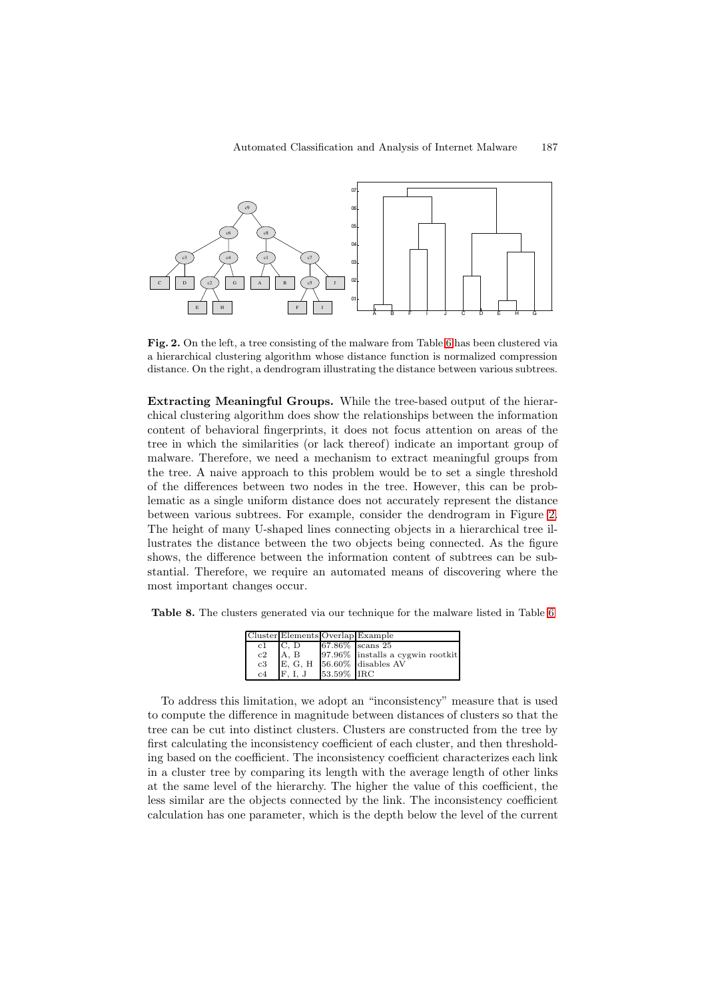

<span id="page-9-0"></span>**Fig. 2.** On the left, a tree consisting of the malware from Table [6](#page-7-0) has been clustered via a hierarchical clustering algorithm whose distance function is normalized compression distance. On the right, a dendrogram illustrating the distance between various subtrees.

**Extracting Meaningful Groups.** While the tree-based output of the hierarchical clustering algorithm does show the relationships between the information content of behavioral fingerprints, it does not focus attention on areas of the tree in which the similarities (or lack thereof) indicate an important group of malware. Therefore, we need a mechanism to extract meaningful groups from the tree. A naive approach to this problem would be to set a single threshold of the differences between two nodes in the tree. However, this can be problematic as a single uniform distance does not accurately represent the distance between various subtrees. For example, consider the dendrogram in Figure [2.](#page-9-0) The height of many U-shaped lines connecting objects in a hierarchical tree illustrates the distance between the two objects being connected. As the figure shows, the difference between the information content of subtrees can be substantial. Therefore, we require an automated means of discovering where the most important changes occur.

<span id="page-9-1"></span>**Table 8.** The clusters generated via our technique for the malware listed in Table [6](#page-7-0)

|    | Cluster Elements Overlap Example |            |                                  |
|----|----------------------------------|------------|----------------------------------|
| c1 | C. D                             |            | 67.86% scans 25                  |
| c2 | A. B                             |            | 97.96% installs a cygwin rootkit |
| c3 |                                  |            | $E, G, H$ 56.60% disables AV     |
| c4 | F.I.J                            | 53.59% IRC |                                  |

To address this limitation, we adopt an "inconsistency" measure that is used to compute the difference in magnitude between distances of clusters so that the tree can be cut into distinct clusters. Clusters are constructed from the tree by first calculating the inconsistency coefficient of each cluster, and then thresholding based on the coefficient. The inconsistency coefficient characterizes each link in a cluster tree by comparing its length with the average length of other links at the same level of the hierarchy. The higher the value of this coefficient, the less similar are the objects connected by the link. The inconsistency coefficient calculation has one parameter, which is the depth below the level of the current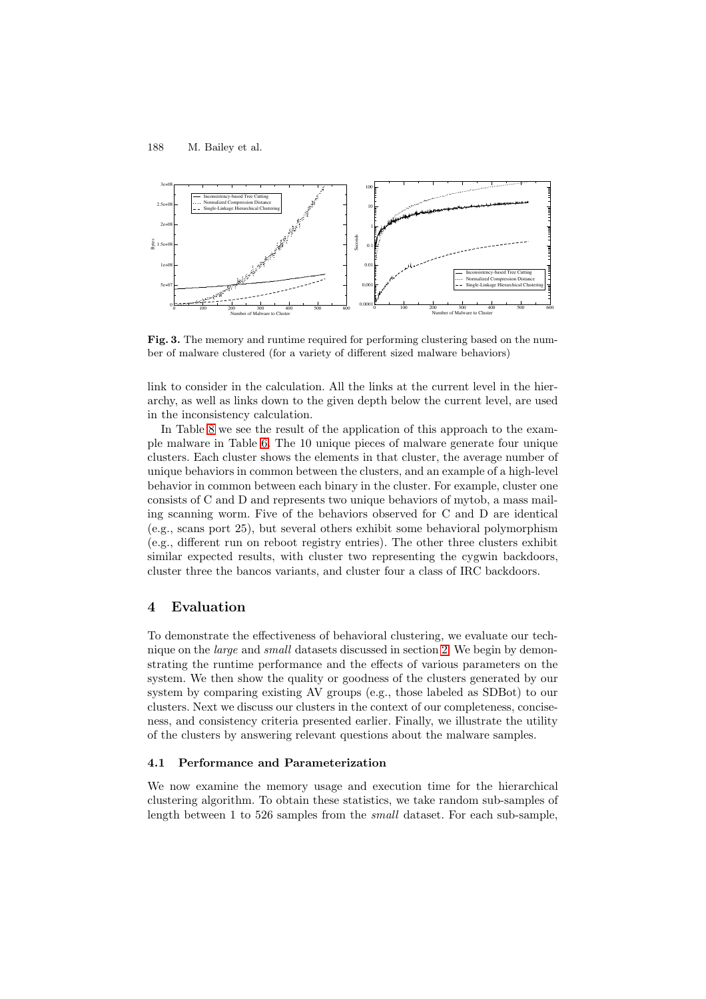

<span id="page-10-1"></span>Fig. 3. The memory and runtime required for performing clustering based on the number of malware clustered (for a variety of different sized malware behaviors)

link to consider in the calculation. All the links at the current level in the hierarchy, as well as links down to the given depth below the current level, are used in the inconsistency calculation.

In Table [8](#page-9-1) we see the result of the application of this approach to the example malware in Table [6.](#page-7-0) The 10 unique pieces of malware generate four unique clusters. Each cluster shows the elements in that cluster, the average number of unique behaviors in common between the clusters, and an example of a high-level behavior in common between each binary in the cluster. For example, cluster one consists of C and D and represents two unique behaviors of mytob, a mass mailing scanning worm. Five of the behaviors observed for C and D are identical (e.g., scans port 25), but several others exhibit some behavioral polymorphism (e.g., different run on reboot registry entries). The other three clusters exhibit similar expected results, with cluster two representing the cygwin backdoors, cluster three the bancos variants, and cluster four a class of IRC backdoors.

## <span id="page-10-0"></span>**4 Evaluation**

To demonstrate the effectiveness of behavioral clustering, we evaluate our technique on the large and small datasets discussed in section [2.](#page-2-0) We begin by demonstrating the runtime performance and the effects of various parameters on the system. We then show the quality or goodness of the clusters generated by our system by comparing existing AV groups (e.g., those labeled as SDBot) to our clusters. Next we discuss our clusters in the context of our completeness, conciseness, and consistency criteria presented earlier. Finally, we illustrate the utility of the clusters by answering relevant questions about the malware samples.

## **4.1 Performance and Parameterization**

We now examine the memory usage and execution time for the hierarchical clustering algorithm. To obtain these statistics, we take random sub-samples of length between 1 to 526 samples from the small dataset. For each sub-sample,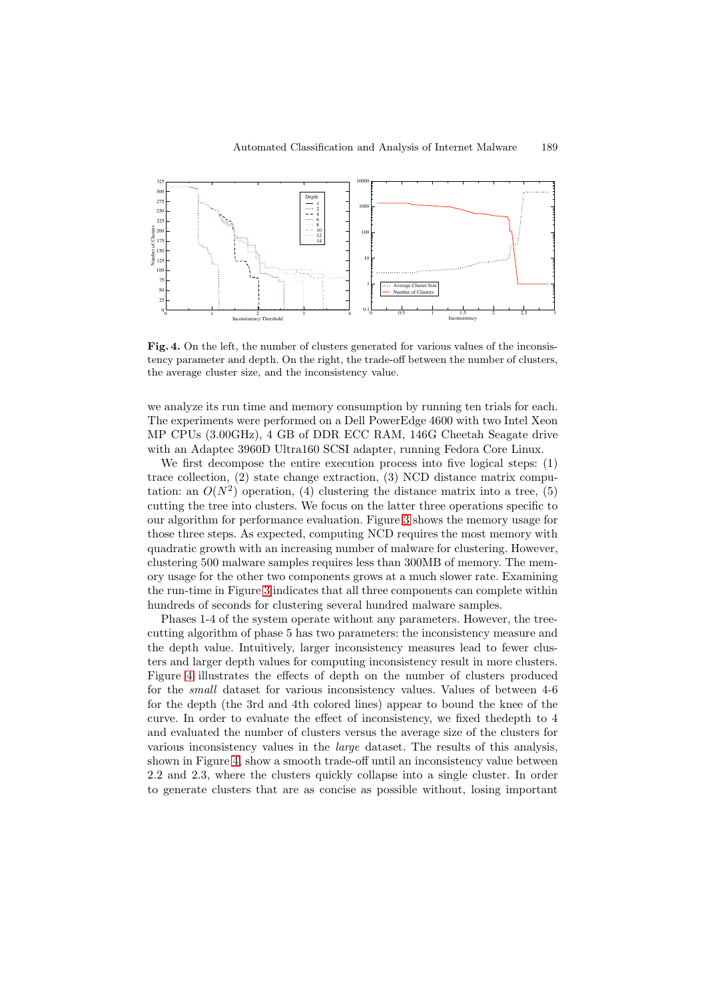

<span id="page-11-0"></span>**Fig. 4.** On the left, the number of clusters generated for various values of the inconsistency parameter and depth. On the right, the trade-off between the number of clusters, the average cluster size, and the inconsistency value.

we analyze its run time and memory consumption by running ten trials for each. The experiments were performed on a Dell PowerEdge 4600 with two Intel Xeon MP CPUs (3.00GHz), 4 GB of DDR ECC RAM, 146G Cheetah Seagate drive with an Adaptec 3960D Ultra160 SCSI adapter, running Fedora Core Linux.

We first decompose the entire execution process into five logical steps: (1) trace collection, (2) state change extraction, (3) NCD distance matrix computation: an  $O(N^2)$  operation, (4) clustering the distance matrix into a tree, (5) cutting the tree into clusters. We focus on the latter three operations specific to our algorithm for performance evaluation. Figure [3](#page-10-1) shows the memory usage for those three steps. As expected, computing NCD requires the most memory with quadratic growth with an increasing number of malware for clustering. However, clustering 500 malware samples requires less than 300MB of memory. The memory usage for the other two components grows at a much slower rate. Examining the run-time in Figure [3](#page-10-1) indicates that all three components can complete within hundreds of seconds for clustering several hundred malware samples.

Phases 1-4 of the system operate without any parameters. However, the treecutting algorithm of phase 5 has two parameters: the inconsistency measure and the depth value. Intuitively, larger inconsistency measures lead to fewer clusters and larger depth values for computing inconsistency result in more clusters. Figure [4](#page-11-0) illustrates the effects of depth on the number of clusters produced for the small dataset for various inconsistency values. Values of between 4-6 for the depth (the 3rd and 4th colored lines) appear to bound the knee of the curve. In order to evaluate the effect of inconsistency, we fixed thedepth to 4 and evaluated the number of clusters versus the average size of the clusters for various inconsistency values in the large dataset. The results of this analysis, shown in Figure [4,](#page-11-0) show a smooth trade-off until an inconsistency value between 2.2 and 2.3, where the clusters quickly collapse into a single cluster. In order to generate clusters that are as concise as possible without, losing important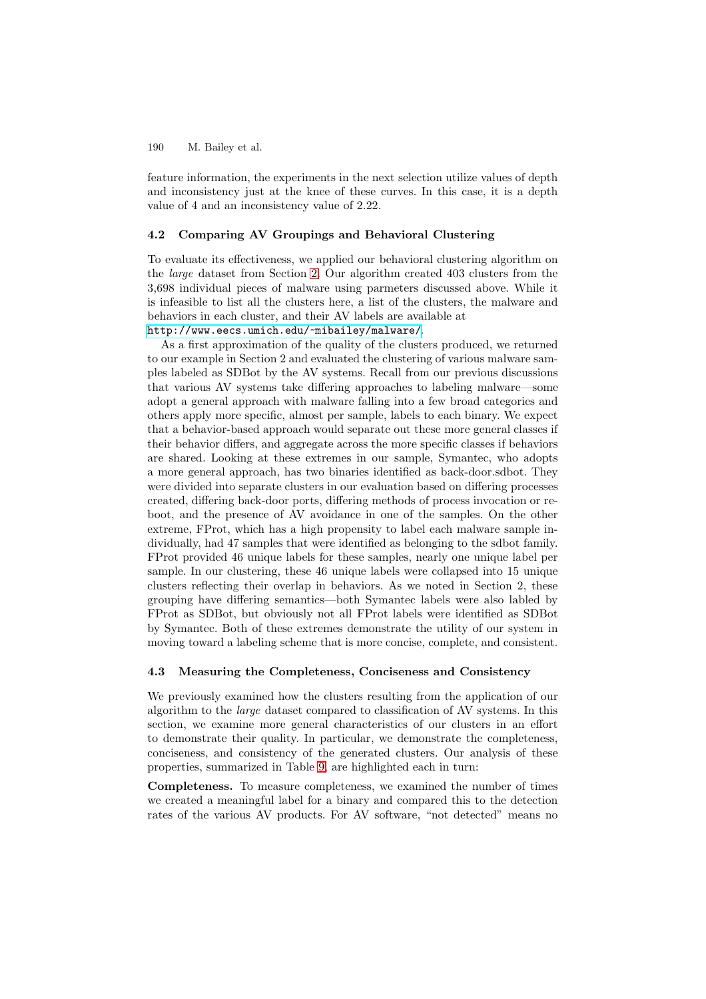feature information, the experiments in the next selection utilize values of depth and inconsistency just at the knee of these curves. In this case, it is a depth value of 4 and an inconsistency value of 2.22.

#### **4.2 Comparing AV Groupings and Behavioral Clustering**

To evaluate its effectiveness, we applied our behavioral clustering algorithm on the large dataset from Section [2.](#page-2-0) Our algorithm created 403 clusters from the 3,698 individual pieces of malware using parmeters discussed above. While it is infeasible to list all the clusters here, a list of the clusters, the malware and behaviors in each cluster, and their AV labels are available at <http://www.eecs.umich.edu/~mibailey/malware/>.

As a first approximation of the quality of the clusters produced, we returned to our example in Section 2 and evaluated the clustering of various malware samples labeled as SDBot by the AV systems. Recall from our previous discussions that various AV systems take differing approaches to labeling malware—some adopt a general approach with malware falling into a few broad categories and others apply more specific, almost per sample, labels to each binary. We expect that a behavior-based approach would separate out these more general classes if their behavior differs, and aggregate across the more specific classes if behaviors are shared. Looking at these extremes in our sample, Symantec, who adopts a more general approach, has two binaries identified as back-door.sdbot. They were divided into separate clusters in our evaluation based on differing processes created, differing back-door ports, differing methods of process invocation or reboot, and the presence of AV avoidance in one of the samples. On the other extreme, FProt, which has a high propensity to label each malware sample individually, had 47 samples that were identified as belonging to the sdbot family. FProt provided 46 unique labels for these samples, nearly one unique label per sample. In our clustering, these 46 unique labels were collapsed into 15 unique clusters reflecting their overlap in behaviors. As we noted in Section 2, these grouping have differing semantics—both Symantec labels were also labled by FProt as SDBot, but obviously not all FProt labels were identified as SDBot by Symantec. Both of these extremes demonstrate the utility of our system in moving toward a labeling scheme that is more concise, complete, and consistent.

#### **4.3 Measuring the Completeness, Conciseness and Consistency**

We previously examined how the clusters resulting from the application of our algorithm to the large dataset compared to classification of AV systems. In this section, we examine more general characteristics of our clusters in an effort to demonstrate their quality. In particular, we demonstrate the completeness, conciseness, and consistency of the generated clusters. Our analysis of these properties, summarized in Table [9,](#page-13-0) are highlighted each in turn:

**Completeness.** To measure completeness, we examined the number of times we created a meaningful label for a binary and compared this to the detection rates of the various AV products. For AV software, "not detected" means no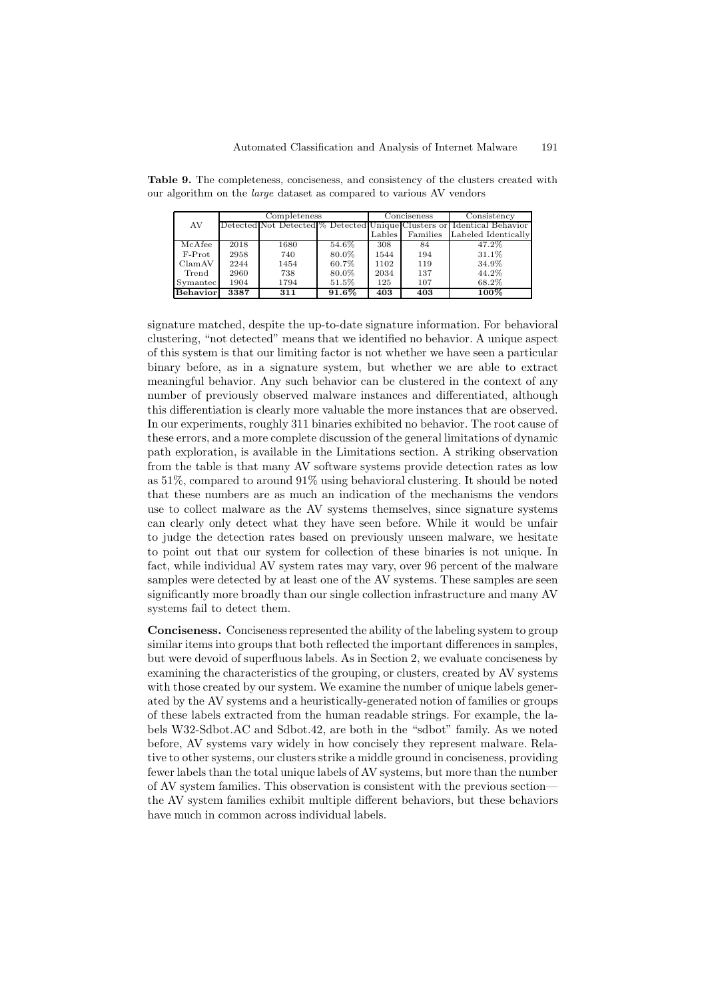|                 | Completeness |      |          |        | Conciseness | Consistency                                                            |  |
|-----------------|--------------|------|----------|--------|-------------|------------------------------------------------------------------------|--|
| AV              |              |      |          |        |             | Detected Not Detected % Detected Unique Clusters or Identical Behavior |  |
|                 |              |      |          | Lables | Families    | Labeled Identically                                                    |  |
| McAfee          | 2018         | 1680 | 54.6%    | 308    | 84          | 47.2%                                                                  |  |
| $F-Prot$        | 2958         | 740  | 80.0%    | 1544   | 194         | 31.1%                                                                  |  |
| ClamAV          | 2244         | 1454 | 60.7%    | 1102   | 119         | 34.9%                                                                  |  |
| Trend           | 2960         | 738  | 80.0%    | 2034   | 137         | 44.2%                                                                  |  |
| Symantec        | 1904         | 1794 | 51.5%    | 125    | 107         | 68.2%                                                                  |  |
| <b>Behavior</b> | 3387         | 311  | $91.6\%$ | 403    | 403         | 100%                                                                   |  |

<span id="page-13-0"></span>**Table 9.** The completeness, conciseness, and consistency of the clusters created with our algorithm on the large dataset as compared to various AV vendors

signature matched, despite the up-to-date signature information. For behavioral clustering, "not detected" means that we identified no behavior. A unique aspect of this system is that our limiting factor is not whether we have seen a particular binary before, as in a signature system, but whether we are able to extract meaningful behavior. Any such behavior can be clustered in the context of any number of previously observed malware instances and differentiated, although this differentiation is clearly more valuable the more instances that are observed. In our experiments, roughly 311 binaries exhibited no behavior. The root cause of these errors, and a more complete discussion of the general limitations of dynamic path exploration, is available in the Limitations section. A striking observation from the table is that many AV software systems provide detection rates as low as 51%, compared to around 91% using behavioral clustering. It should be noted that these numbers are as much an indication of the mechanisms the vendors use to collect malware as the AV systems themselves, since signature systems can clearly only detect what they have seen before. While it would be unfair to judge the detection rates based on previously unseen malware, we hesitate to point out that our system for collection of these binaries is not unique. In fact, while individual AV system rates may vary, over 96 percent of the malware samples were detected by at least one of the AV systems. These samples are seen significantly more broadly than our single collection infrastructure and many AV systems fail to detect them.

**Conciseness.** Conciseness represented the ability of the labeling system to group similar items into groups that both reflected the important differences in samples, but were devoid of superfluous labels. As in Section 2, we evaluate conciseness by examining the characteristics of the grouping, or clusters, created by AV systems with those created by our system. We examine the number of unique labels generated by the AV systems and a heuristically-generated notion of families or groups of these labels extracted from the human readable strings. For example, the labels W32-Sdbot.AC and Sdbot.42, are both in the "sdbot" family. As we noted before, AV systems vary widely in how concisely they represent malware. Relative to other systems, our clusters strike a middle ground in conciseness, providing fewer labels than the total unique labels of AV systems, but more than the number of AV system families. This observation is consistent with the previous section the AV system families exhibit multiple different behaviors, but these behaviors have much in common across individual labels.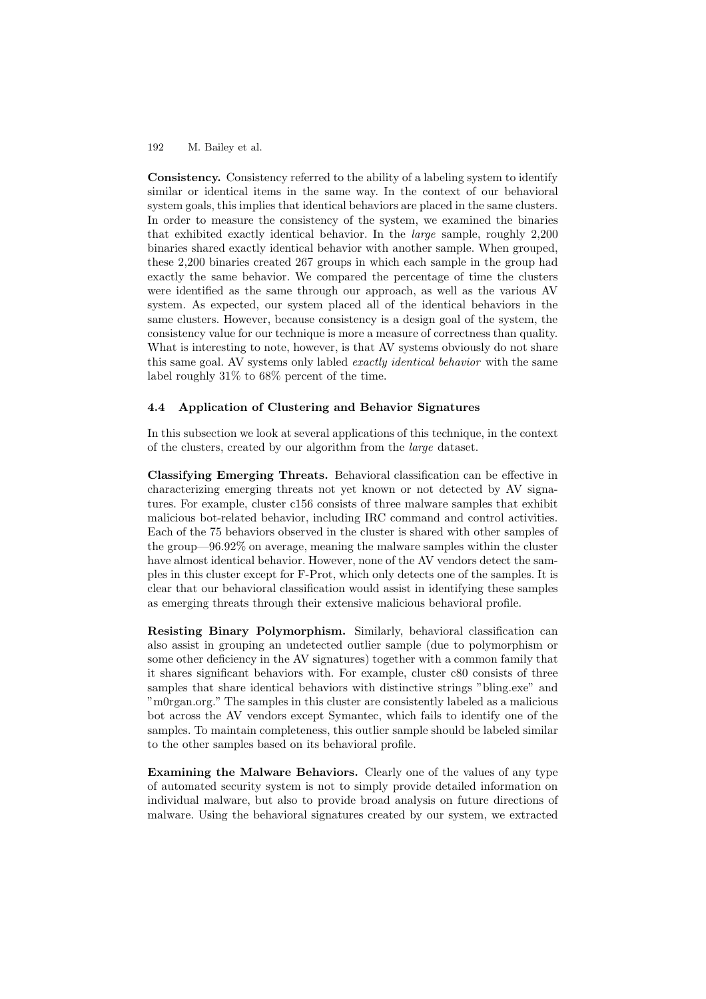**Consistency.** Consistency referred to the ability of a labeling system to identify similar or identical items in the same way. In the context of our behavioral system goals, this implies that identical behaviors are placed in the same clusters. In order to measure the consistency of the system, we examined the binaries that exhibited exactly identical behavior. In the large sample, roughly 2,200 binaries shared exactly identical behavior with another sample. When grouped, these 2,200 binaries created 267 groups in which each sample in the group had exactly the same behavior. We compared the percentage of time the clusters were identified as the same through our approach, as well as the various AV system. As expected, our system placed all of the identical behaviors in the same clusters. However, because consistency is a design goal of the system, the consistency value for our technique is more a measure of correctness than quality. What is interesting to note, however, is that AV systems obviously do not share this same goal. AV systems only labled exactly identical behavior with the same label roughly 31% to 68% percent of the time.

#### **4.4 Application of Clustering and Behavior Signatures**

In this subsection we look at several applications of this technique, in the context of the clusters, created by our algorithm from the large dataset.

**Classifying Emerging Threats.** Behavioral classification can be effective in characterizing emerging threats not yet known or not detected by AV signatures. For example, cluster c156 consists of three malware samples that exhibit malicious bot-related behavior, including IRC command and control activities. Each of the 75 behaviors observed in the cluster is shared with other samples of the group—96.92% on average, meaning the malware samples within the cluster have almost identical behavior. However, none of the AV vendors detect the samples in this cluster except for F-Prot, which only detects one of the samples. It is clear that our behavioral classification would assist in identifying these samples as emerging threats through their extensive malicious behavioral profile.

**Resisting Binary Polymorphism.** Similarly, behavioral classification can also assist in grouping an undetected outlier sample (due to polymorphism or some other deficiency in the AV signatures) together with a common family that it shares significant behaviors with. For example, cluster c80 consists of three samples that share identical behaviors with distinctive strings "bling.exe" and "m0rgan.org." The samples in this cluster are consistently labeled as a malicious bot across the AV vendors except Symantec, which fails to identify one of the samples. To maintain completeness, this outlier sample should be labeled similar to the other samples based on its behavioral profile.

**Examining the Malware Behaviors.** Clearly one of the values of any type of automated security system is not to simply provide detailed information on individual malware, but also to provide broad analysis on future directions of malware. Using the behavioral signatures created by our system, we extracted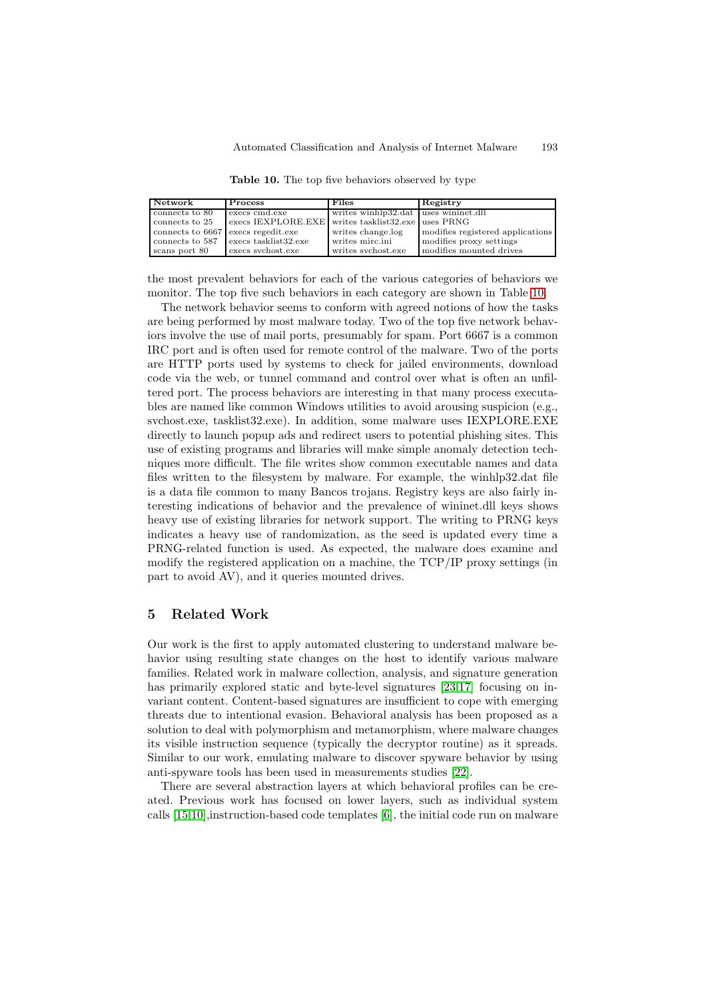| Network        | Process                                            | Files                                | Registry                         |
|----------------|----------------------------------------------------|--------------------------------------|----------------------------------|
| connects to 80 | execs cmd.exe                                      | writes winhlp32.dat uses wininet.dll |                                  |
| connects to 25 | execs IEXPLORE.EXE writes tasklist32.exe uses PRNG |                                      |                                  |
|                | connects to 6667 execs regedit.exe                 | writes change.log                    | modifies registered applications |
|                | connects to $587$ execs tasklist 32.exe            | writes mirc.ini                      | modifies proxy settings          |
| scans port 80  | execs sychost.exe                                  | writes sychost.exe                   | modifies mounted drives          |

<span id="page-15-1"></span>**Table 10.** The top five behaviors observed by type

the most prevalent behaviors for each of the various categories of behaviors we monitor. The top five such behaviors in each category are shown in Table [10.](#page-15-1)

The network behavior seems to conform with agreed notions of how the tasks are being performed by most malware today. Two of the top five network behaviors involve the use of mail ports, presumably for spam. Port 6667 is a common IRC port and is often used for remote control of the malware. Two of the ports are HTTP ports used by systems to check for jailed environments, download code via the web, or tunnel command and control over what is often an unfiltered port. The process behaviors are interesting in that many process executables are named like common Windows utilities to avoid arousing suspicion (e.g., svchost.exe, tasklist32.exe). In addition, some malware uses IEXPLORE.EXE directly to launch popup ads and redirect users to potential phishing sites. This use of existing programs and libraries will make simple anomaly detection techniques more difficult. The file writes show common executable names and data files written to the filesystem by malware. For example, the winhlp32.dat file is a data file common to many Bancos trojans. Registry keys are also fairly interesting indications of behavior and the prevalence of wininet.dll keys shows heavy use of existing libraries for network support. The writing to PRNG keys indicates a heavy use of randomization, as the seed is updated every time a PRNG-related function is used. As expected, the malware does examine and modify the registered application on a machine, the TCP/IP proxy settings (in part to avoid AV), and it queries mounted drives.

# <span id="page-15-0"></span>**5 Related Work**

Our work is the first to apply automated clustering to understand malware behavior using resulting state changes on the host to identify various malware families. Related work in malware collection, analysis, and signature generation has primarily explored static and byte-level signatures [\[23,](#page-19-8)[17\]](#page-19-9) focusing on invariant content. Content-based signatures are insufficient to cope with emerging threats due to intentional evasion. Behavioral analysis has been proposed as a solution to deal with polymorphism and metamorphism, where malware changes its visible instruction sequence (typically the decryptor routine) as it spreads. Similar to our work, emulating malware to discover spyware behavior by using anti-spyware tools has been used in measurements studies [\[22\]](#page-19-10).

There are several abstraction layers at which behavioral profiles can be created. Previous work has focused on lower layers, such as individual system calls [\[15](#page-19-11)[,10\]](#page-18-8),instruction-based code templates [\[6\]](#page-18-9), the initial code run on malware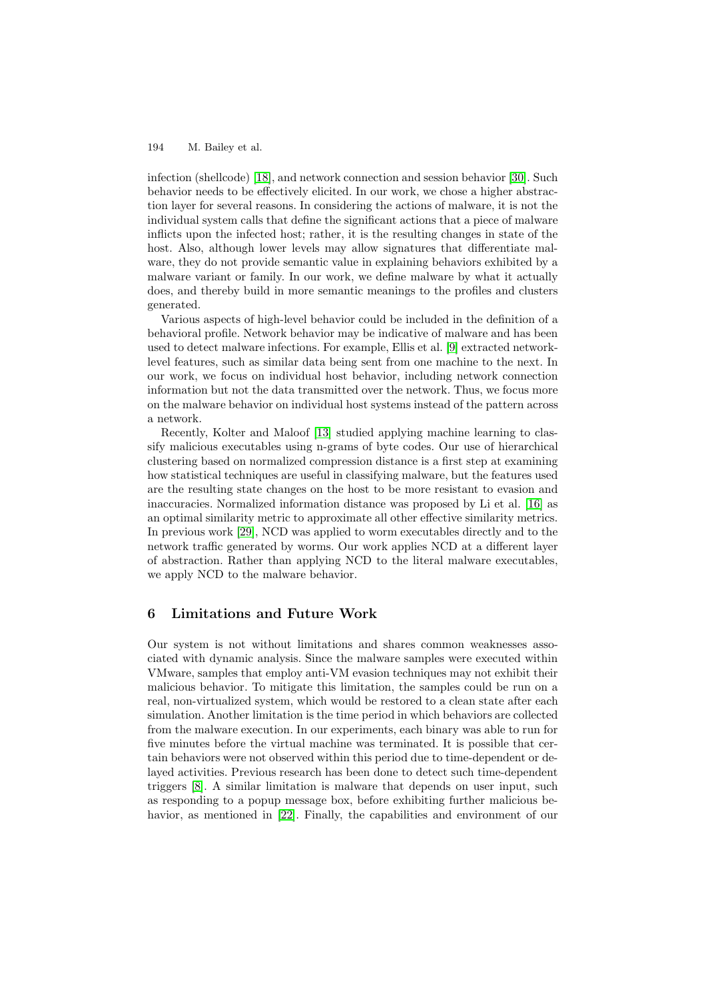infection (shellcode) [\[18\]](#page-19-12), and network connection and session behavior [\[30\]](#page-19-13). Such behavior needs to be effectively elicited. In our work, we chose a higher abstraction layer for several reasons. In considering the actions of malware, it is not the individual system calls that define the significant actions that a piece of malware inflicts upon the infected host; rather, it is the resulting changes in state of the host. Also, although lower levels may allow signatures that differentiate malware, they do not provide semantic value in explaining behaviors exhibited by a malware variant or family. In our work, we define malware by what it actually does, and thereby build in more semantic meanings to the profiles and clusters generated.

Various aspects of high-level behavior could be included in the definition of a behavioral profile. Network behavior may be indicative of malware and has been used to detect malware infections. For example, Ellis et al. [\[9\]](#page-18-10) extracted networklevel features, such as similar data being sent from one machine to the next. In our work, we focus on individual host behavior, including network connection information but not the data transmitted over the network. Thus, we focus more on the malware behavior on individual host systems instead of the pattern across a network.

Recently, Kolter and Maloof [\[13\]](#page-18-11) studied applying machine learning to classify malicious executables using n-grams of byte codes. Our use of hierarchical clustering based on normalized compression distance is a first step at examining how statistical techniques are useful in classifying malware, but the features used are the resulting state changes on the host to be more resistant to evasion and inaccuracies. Normalized information distance was proposed by Li et al. [\[16\]](#page-19-14) as an optimal similarity metric to approximate all other effective similarity metrics. In previous work [\[29\]](#page-19-6), NCD was applied to worm executables directly and to the network traffic generated by worms. Our work applies NCD at a different layer of abstraction. Rather than applying NCD to the literal malware executables, we apply NCD to the malware behavior.

## <span id="page-16-0"></span>**6 Limitations and Future Work**

Our system is not without limitations and shares common weaknesses associated with dynamic analysis. Since the malware samples were executed within VMware, samples that employ anti-VM evasion techniques may not exhibit their malicious behavior. To mitigate this limitation, the samples could be run on a real, non-virtualized system, which would be restored to a clean state after each simulation. Another limitation is the time period in which behaviors are collected from the malware execution. In our experiments, each binary was able to run for five minutes before the virtual machine was terminated. It is possible that certain behaviors were not observed within this period due to time-dependent or delayed activities. Previous research has been done to detect such time-dependent triggers [\[8\]](#page-18-12). A similar limitation is malware that depends on user input, such as responding to a popup message box, before exhibiting further malicious be-havior, as mentioned in [\[22\]](#page-19-10). Finally, the capabilities and environment of our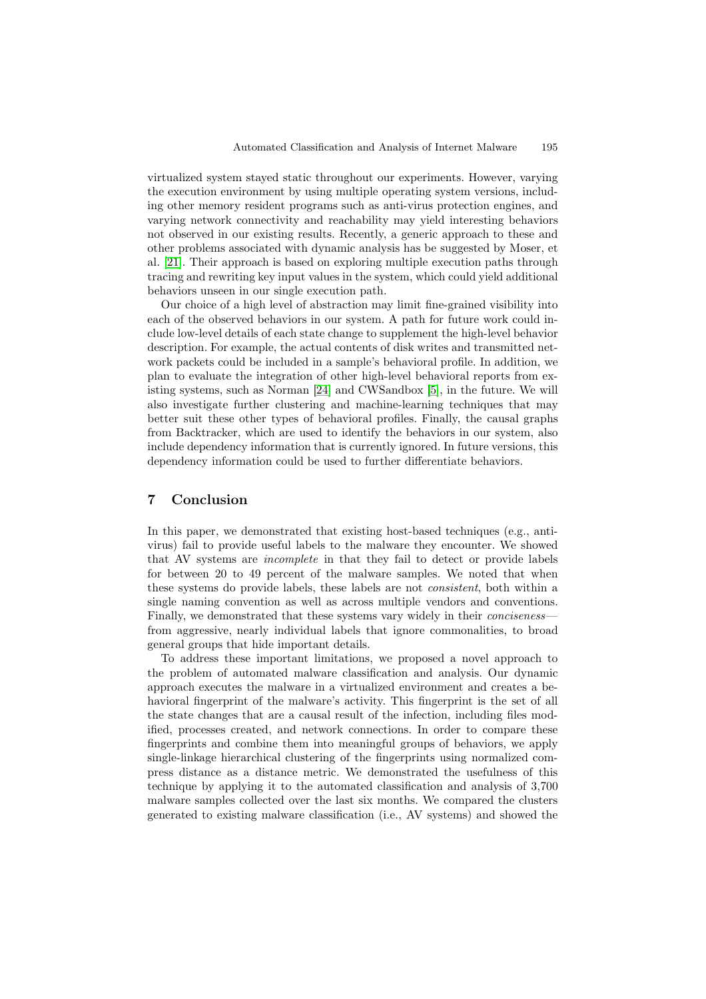virtualized system stayed static throughout our experiments. However, varying the execution environment by using multiple operating system versions, including other memory resident programs such as anti-virus protection engines, and varying network connectivity and reachability may yield interesting behaviors not observed in our existing results. Recently, a generic approach to these and other problems associated with dynamic analysis has be suggested by Moser, et al. [\[21\]](#page-19-15). Their approach is based on exploring multiple execution paths through tracing and rewriting key input values in the system, which could yield additional behaviors unseen in our single execution path.

Our choice of a high level of abstraction may limit fine-grained visibility into each of the observed behaviors in our system. A path for future work could include low-level details of each state change to supplement the high-level behavior description. For example, the actual contents of disk writes and transmitted network packets could be included in a sample's behavioral profile. In addition, we plan to evaluate the integration of other high-level behavioral reports from existing systems, such as Norman [\[24\]](#page-19-16) and CWSandbox [\[5\]](#page-18-13), in the future. We will also investigate further clustering and machine-learning techniques that may better suit these other types of behavioral profiles. Finally, the causal graphs from Backtracker, which are used to identify the behaviors in our system, also include dependency information that is currently ignored. In future versions, this dependency information could be used to further differentiate behaviors.

# <span id="page-17-0"></span>**7 Conclusion**

In this paper, we demonstrated that existing host-based techniques (e.g., antivirus) fail to provide useful labels to the malware they encounter. We showed that AV systems are incomplete in that they fail to detect or provide labels for between 20 to 49 percent of the malware samples. We noted that when these systems do provide labels, these labels are not consistent, both within a single naming convention as well as across multiple vendors and conventions. Finally, we demonstrated that these systems vary widely in their *conciseness* from aggressive, nearly individual labels that ignore commonalities, to broad general groups that hide important details.

To address these important limitations, we proposed a novel approach to the problem of automated malware classification and analysis. Our dynamic approach executes the malware in a virtualized environment and creates a behavioral fingerprint of the malware's activity. This fingerprint is the set of all the state changes that are a causal result of the infection, including files modified, processes created, and network connections. In order to compare these fingerprints and combine them into meaningful groups of behaviors, we apply single-linkage hierarchical clustering of the fingerprints using normalized compress distance as a distance metric. We demonstrated the usefulness of this technique by applying it to the automated classification and analysis of 3,700 malware samples collected over the last six months. We compared the clusters generated to existing malware classification (i.e., AV systems) and showed the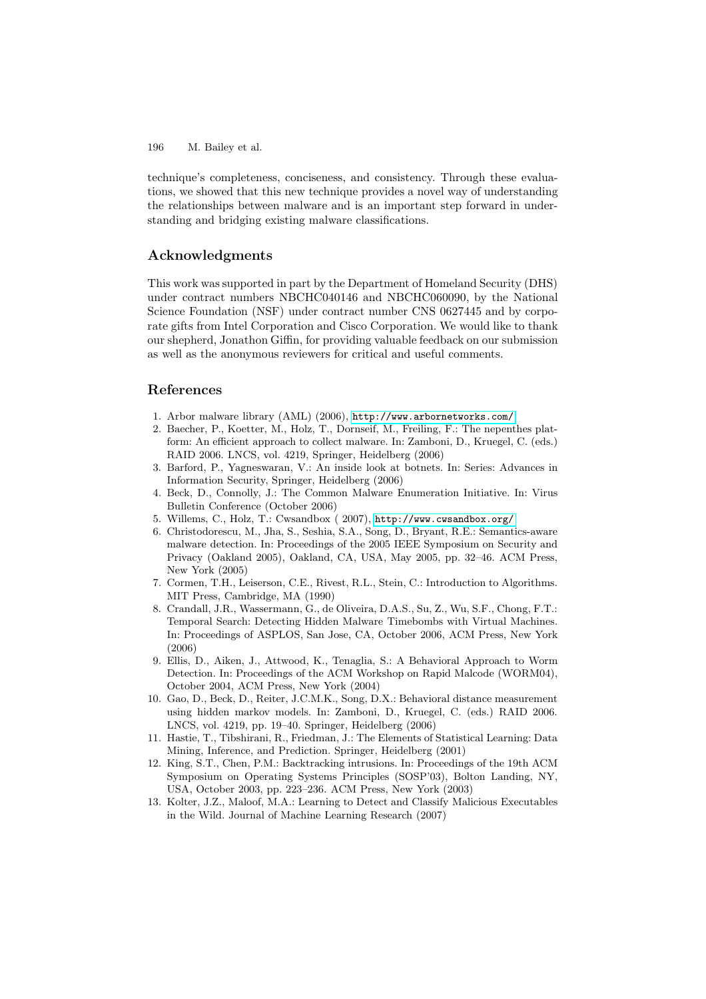technique's completeness, conciseness, and consistency. Through these evaluations, we showed that this new technique provides a novel way of understanding the relationships between malware and is an important step forward in understanding and bridging existing malware classifications.

# **Acknowledgments**

This work was supported in part by the Department of Homeland Security (DHS) under contract numbers NBCHC040146 and NBCHC060090, by the National Science Foundation (NSF) under contract number CNS 0627445 and by corporate gifts from Intel Corporation and Cisco Corporation. We would like to thank our shepherd, Jonathon Giffin, for providing valuable feedback on our submission as well as the anonymous reviewers for critical and useful comments.

# <span id="page-18-3"></span><span id="page-18-2"></span><span id="page-18-0"></span>**References**

- 1. Arbor malware library (AML) (2006), <http://www.arbornetworks.com/>
- 2. Baecher, P., Koetter, M., Holz, T., Dornseif, M., Freiling, F.: The nepenthes platform: An efficient approach to collect malware. In: Zamboni, D., Kruegel, C. (eds.) RAID 2006. LNCS, vol. 4219, Springer, Heidelberg (2006)
- <span id="page-18-1"></span>3. Barford, P., Yagneswaran, V.: An inside look at botnets. In: Series: Advances in Information Security, Springer, Heidelberg (2006)
- <span id="page-18-4"></span>4. Beck, D., Connolly, J.: The Common Malware Enumeration Initiative. In: Virus Bulletin Conference (October 2006)
- <span id="page-18-13"></span><span id="page-18-9"></span>5. Willems, C., Holz, T.: Cwsandbox ( 2007), <http://www.cwsandbox.org/>
- 6. Christodorescu, M., Jha, S., Seshia, S.A., Song, D., Bryant, R.E.: Semantics-aware malware detection. In: Proceedings of the 2005 IEEE Symposium on Security and Privacy (Oakland 2005), Oakland, CA, USA, May 2005, pp. 32–46. ACM Press, New York (2005)
- <span id="page-18-6"></span>7. Cormen, T.H., Leiserson, C.E., Rivest, R.L., Stein, C.: Introduction to Algorithms. MIT Press, Cambridge, MA (1990)
- <span id="page-18-12"></span>8. Crandall, J.R., Wassermann, G., de Oliveira, D.A.S., Su, Z., Wu, S.F., Chong, F.T.: Temporal Search: Detecting Hidden Malware Timebombs with Virtual Machines. In: Proceedings of ASPLOS, San Jose, CA, October 2006, ACM Press, New York (2006)
- <span id="page-18-10"></span>9. Ellis, D., Aiken, J., Attwood, K., Tenaglia, S.: A Behavioral Approach to Worm Detection. In: Proceedings of the ACM Workshop on Rapid Malcode (WORM04), October 2004, ACM Press, New York (2004)
- <span id="page-18-8"></span>10. Gao, D., Beck, D., Reiter, J.C.M.K., Song, D.X.: Behavioral distance measurement using hidden markov models. In: Zamboni, D., Kruegel, C. (eds.) RAID 2006. LNCS, vol. 4219, pp. 19–40. Springer, Heidelberg (2006)
- <span id="page-18-7"></span>11. Hastie, T., Tibshirani, R., Friedman, J.: The Elements of Statistical Learning: Data Mining, Inference, and Prediction. Springer, Heidelberg (2001)
- <span id="page-18-5"></span>12. King, S.T., Chen, P.M.: Backtracking intrusions. In: Proceedings of the 19th ACM Symposium on Operating Systems Principles (SOSP'03), Bolton Landing, NY, USA, October 2003, pp. 223–236. ACM Press, New York (2003)
- <span id="page-18-11"></span>13. Kolter, J.Z., Maloof, M.A.: Learning to Detect and Classify Malicious Executables in the Wild. Journal of Machine Learning Research (2007)